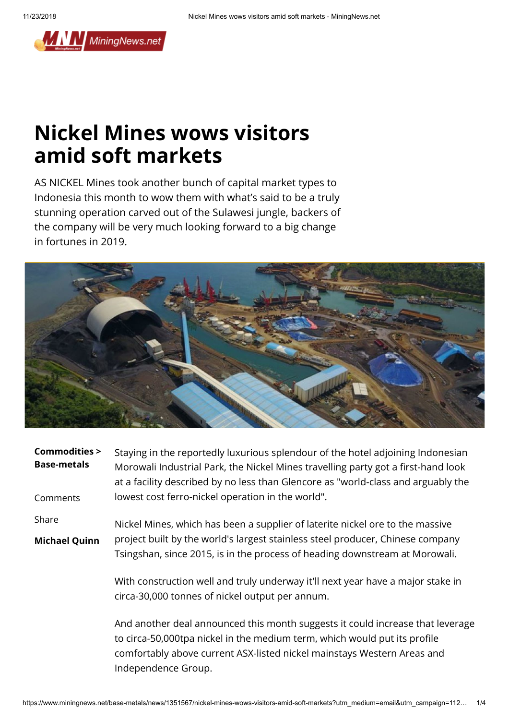

## **Nickel Mines wows visitors amid soft markets**

AS NICKEL Mines took another bunch of capital market types to Indonesia this month to wow them with what's said to be a truly stunning operation carved out of the Sulawesi jungle, backers of the company will be very much looking forward to a big change in fortunes in 2019.



| <b>Commodities &gt;</b><br><b>Base-metals</b><br>Comments | Staying in the reportedly luxurious splendour of the hotel adjoining Indonesian<br>Morowali Industrial Park, the Nickel Mines travelling party got a first-hand look<br>at a facility described by no less than Glencore as "world-class and arguably the<br>lowest cost ferro-nickel operation in the world". |
|-----------------------------------------------------------|----------------------------------------------------------------------------------------------------------------------------------------------------------------------------------------------------------------------------------------------------------------------------------------------------------------|
|                                                           |                                                                                                                                                                                                                                                                                                                |
| Share                                                     | Nickel Mines, which has been a supplier of laterite nickel ore to the massive                                                                                                                                                                                                                                  |
| <b>Michael Quinn</b>                                      | project built by the world's largest stainless steel producer, Chinese company<br>Tsingshan, since 2015, is in the process of heading downstream at Morowali.                                                                                                                                                  |
|                                                           | With construction well and truly underway it'll next year have a major stake in<br>circa-30,000 tonnes of nickel output per annum.                                                                                                                                                                             |
|                                                           | And another deal announced this month suggests it could increase that leverage<br>to circa-50,000tpa nickel in the medium term, which would put its profile<br>comfortably above current ASX-listed nickel mainstays Western Areas and                                                                         |

Independence Group.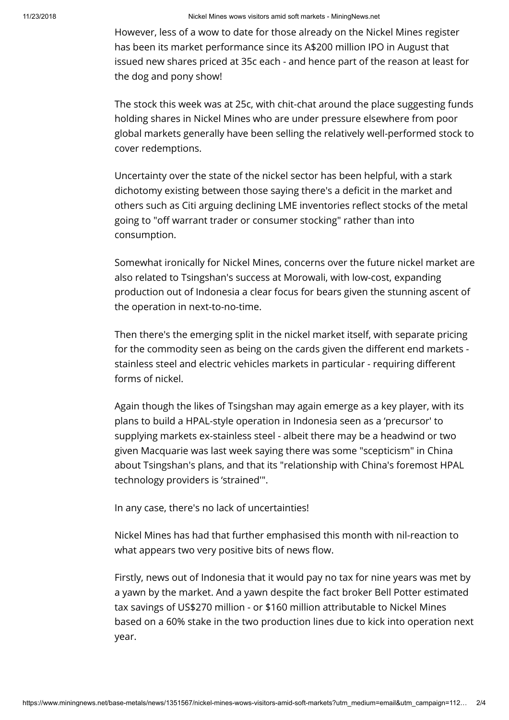However, less of a wow to date for those already on the Nickel Mines register has been its market performance since its A\$200 million IPO in August that issued new shares priced at 35c each - and hence part of the reason at least for the dog and pony show!

The stock this week was at 25c, with chit-chat around the place suggesting funds holding shares in Nickel Mines who are under pressure elsewhere from poor global markets generally have been selling the relatively well-performed stock to cover redemptions.

Uncertainty over the state of the nickel sector has been helpful, with a stark dichotomy existing between those saying there's a deficit in the market and others such as Citi arguing declining LME inventories reflect stocks of the metal going to "off warrant trader or consumer stocking" rather than into consumption.

Somewhat ironically for Nickel Mines, concerns over the future nickel market are also related to Tsingshan's success at Morowali, with low-cost, expanding production out of Indonesia a clear focus for bears given the stunning ascent of the operation in next-to-no-time.

Then there's the emerging split in the nickel market itself, with separate pricing for the commodity seen as being on the cards given the different end markets stainless steel and electric vehicles markets in particular - requiring different forms of nickel.

Again though the likes of Tsingshan may again emerge as a key player, with its plans to build a HPAL-style operation in Indonesia seen as a 'precursor' to supplying markets ex-stainless steel - albeit there may be a headwind or two given Macquarie was last week saying there was some "scepticism" in China about Tsingshan's plans, and that its "relationship with China's foremost HPAL technology providers is 'strained'".

In any case, there's no lack of uncertainties!

Nickel Mines has had that further emphasised this month with nil-reaction to what appears two very positive bits of news flow.

Firstly, news out of Indonesia that it would pay no tax for nine years was met by a yawn by the market. And a yawn despite the fact broker Bell Potter estimated tax savings of US\$270 million - or \$160 million attributable to Nickel Mines based on a 60% stake in the two production lines due to kick into operation next year.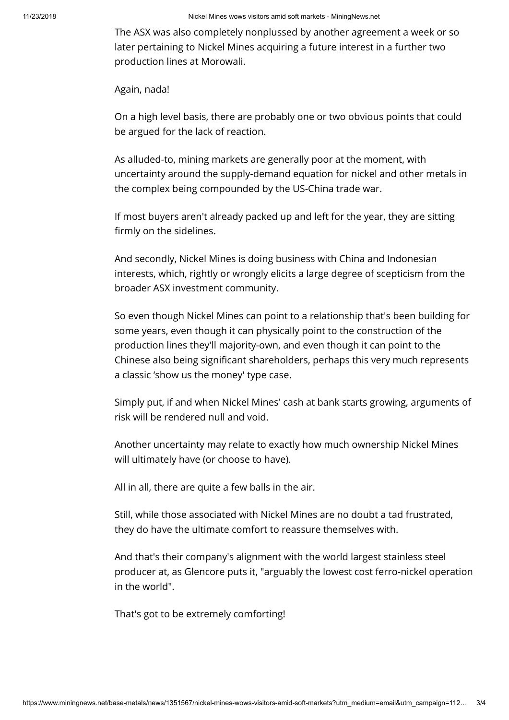11/23/2018 Nickel Mines wows visitors amid soft markets - MiningNews.net

The ASX was also completely nonplussed by another agreement a week or so later pertaining to Nickel Mines acquiring a future interest in a further two production lines at Morowali.

Again, nada!

On a high level basis, there are probably one or two obvious points that could be argued for the lack of reaction.

As alluded-to, mining markets are generally poor at the moment, with uncertainty around the supply-demand equation for nickel and other metals in the complex being compounded by the US-China trade war.

If most buyers aren't already packed up and left for the year, they are sitting firmly on the sidelines.

And secondly, Nickel Mines is doing business with China and Indonesian interests, which, rightly or wrongly elicits a large degree of scepticism from the broader ASX investment community.

So even though Nickel Mines can point to a relationship that's been building for some years, even though it can physically point to the construction of the production lines they'll majority-own, and even though it can point to the Chinese also being significant shareholders, perhaps this very much represents a classic 'show us the money' type case.

Simply put, if and when Nickel Mines' cash at bank starts growing, arguments of risk will be rendered null and void.

Another uncertainty may relate to exactly how much ownership Nickel Mines will ultimately have (or choose to have).

All in all, there are quite a few balls in the air.

Still, while those associated with Nickel Mines are no doubt a tad frustrated, they do have the ultimate comfort to reassure themselves with.

And that's their company's alignment with the world largest stainless steel producer at, as Glencore puts it, "arguably the lowest cost ferro-nickel operation in the world".

That's got to be extremely comforting!